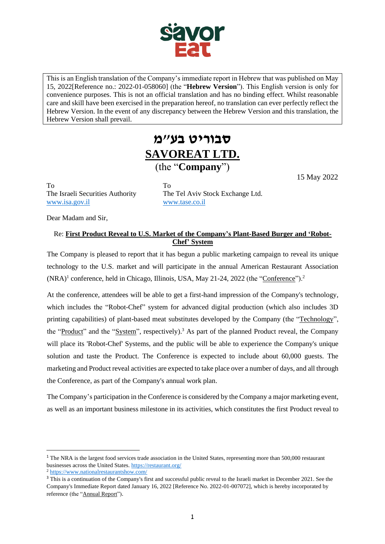

This is an English translation of the Company's immediate report in Hebrew that was published on May 15, 2022[Reference no.: 2022-01-058060] (the "**Hebrew Version**"). This English version is only for convenience purposes. This is not an official translation and has no binding effect. Whilst reasonable care and skill have been exercised in the preparation hereof, no translation can ever perfectly reflect the Hebrew Version. In the event of any discrepancy between the Hebrew Version and this translation, the Hebrew Version shall prevail.

## **סבוריט בע"מ SAVOREAT LTD.** (the "**Company**")

To To [www.isa.gov.il](http://www.isa.gov.il/) [www.tase.co.il](http://www.tase.co.il/)

The Israeli Securities Authority The Tel Aviv Stock Exchange Ltd.

15 May 2022

Dear Madam and Sir,

## Re: **First Product Reveal to U.S. Market of the Company's Plant-Based Burger and 'Robot-Chef' System**

The Company is pleased to report that it has begun a public marketing campaign to reveal its unique technology to the U.S. market and will participate in the annual American Restaurant Association (NRA)<sup>1</sup> conference, held in Chicago, Illinois, USA, May 21-24, 2022 (the "Conference").<sup>2</sup>

At the conference, attendees will be able to get a first-hand impression of the Company's technology, which includes the "Robot-Chef" system for advanced digital production (which also includes 3D printing capabilities) of plant-based meat substitutes developed by the Company (the "Technology", the "Product" and the "System", respectively).<sup>3</sup> As part of the planned Product reveal, the Company will place its 'Robot-Chef' Systems, and the public will be able to experience the Company's unique solution and taste the Product. The Conference is expected to include about 60,000 guests. The marketing and Product reveal activities are expected to take place over a number of days, and all through the Conference, as part of the Company's annual work plan.

The Company's participation in the Conference is considered by the Company a major marketing event, as well as an important business milestone in its activities, which constitutes the first Product reveal to

<sup>&</sup>lt;sup>1</sup> The NRA is the largest food services trade association in the United States, representing more than 500,000 restaurant businesses across the United States.<https://restaurant.org/>

<sup>2</sup> <https://www.nationalrestaurantshow.com/>

<sup>&</sup>lt;sup>3</sup> This is a continuation of the Company's first and successful public reveal to the Israeli market in December 2021. See the Company's Immediate Report dated January 16, 2022 [Reference No. 2022-01-007072], which is hereby incorporated by reference (the "Annual Report").